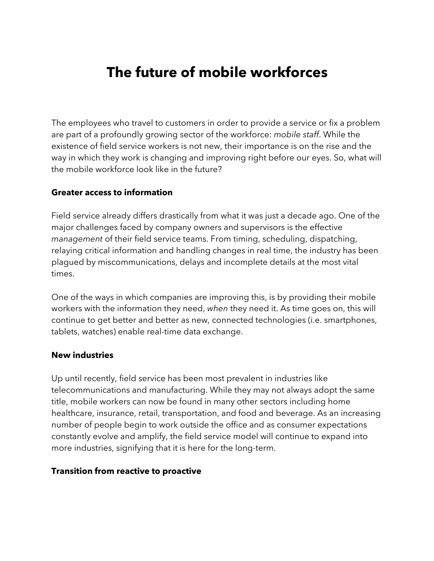# **The future of mobile workforces**

The employees who travel to customers in order to provide a service or fix a problem are part of a profoundly growing sector of the workforce: *mobile staff*. While the existence of field service workers is not new, their importance is on the rise and the way in which they work is changing and improving right before our eyes. So, what will the mobile workforce look like in the future?

### **Greater access to information**

Field service already differs drastically from what it was just a decade ago. One of the major challenges faced by company owners and supervisors is the effective *management* of their field service teams. From timing, scheduling, dispatching, relaying critical information and handling changes in real time, the industry has been plagued by miscommunications, delays and incomplete details at the most vital times.

One of the ways in which companies are improving this, is by providing their mobile workers with the information they need, *when* they need it. As time goes on, this will continue to get better and better as new, connected technologies (i.e. smartphones, tablets, watches) enable real-time data exchange.

### **New industries**

Up until recently, field service has been most prevalent in industries like telecommunications and manufacturing. While they may not always adopt the same title, mobile workers can now be found in many other sectors including home healthcare, insurance, retail, transportation, and food and beverage. As an increasing number of people begin to work outside the office and as consumer expectations constantly evolve and amplify, the field service model will continue to expand into more industries, signifying that it is here for the long-term.

### **Transition from reactive to proactive**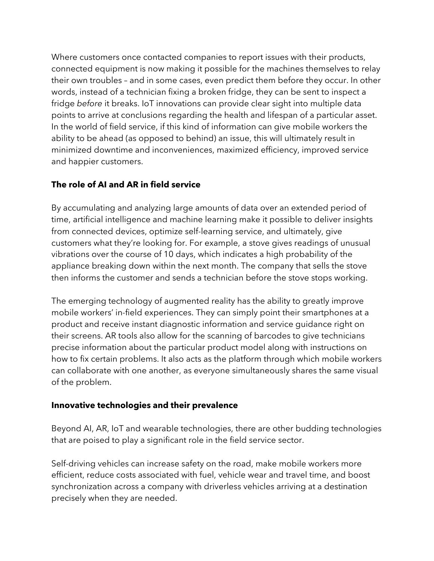Where customers once contacted companies to report issues with their products, connected equipment is now making it possible for the machines themselves to relay their own troubles – and in some cases, even predict them before they occur. In other words, instead of a technician fixing a broken fridge, they can be sent to inspect a fridge *before* it breaks. IoT innovations can provide clear sight into multiple data points to arrive at conclusions regarding the health and lifespan of a particular asset. In the world of field service, if this kind of information can give mobile workers the ability to be ahead (as opposed to behind) an issue, this will ultimately result in minimized downtime and inconveniences, maximized efficiency, improved service and happier customers.

# **The role of AI and AR in field service**

By accumulating and analyzing large amounts of data over an extended period of time, artificial intelligence and machine learning make it possible to deliver insights from connected devices, optimize self-learning service, and ultimately, give customers what they're looking for. For example, a stove gives readings of unusual vibrations over the course of 10 days, which indicates a high probability of the appliance breaking down within the next month. The company that sells the stove then informs the customer and sends a technician before the stove stops working.

The emerging technology of augmented reality has the ability to greatly improve mobile workers' in-field experiences. They can simply point their smartphones at a product and receive instant diagnostic information and service guidance right on their screens. AR tools also allow for the scanning of barcodes to give technicians precise information about the particular product model along with instructions on how to fix certain problems. It also acts as the platform through which mobile workers can collaborate with one another, as everyone simultaneously shares the same visual of the problem.

# **Innovative technologies and their prevalence**

Beyond AI, AR, IoT and wearable technologies, there are other budding technologies that are poised to play a significant role in the field service sector.

Self-driving vehicles can increase safety on the road, make mobile workers more efficient, reduce costs associated with fuel, vehicle wear and travel time, and boost synchronization across a company with driverless vehicles arriving at a destination precisely when they are needed.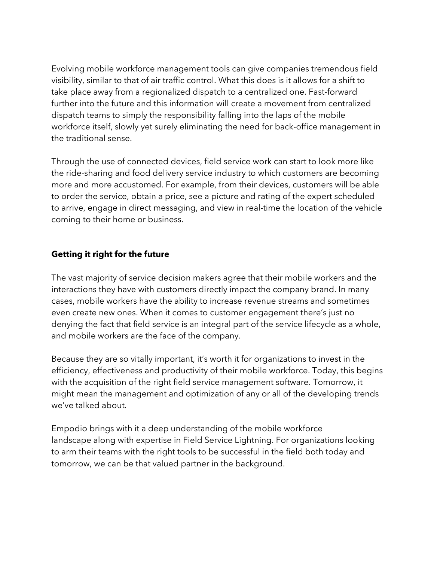Evolving mobile workforce management tools can give companies tremendous field visibility, similar to that of air traffic control. What this does is it allows for a shift to take place away from a regionalized dispatch to a centralized one. Fast-forward further into the future and this information will create a movement from centralized dispatch teams to simply the responsibility falling into the laps of the mobile workforce itself, slowly yet surely eliminating the need for back-office management in the traditional sense.

Through the use of connected devices, field service work can start to look more like the ride-sharing and food delivery service industry to which customers are becoming more and more accustomed. For example, from their devices, customers will be able to order the service, obtain a price, see a picture and rating of the expert scheduled to arrive, engage in direct messaging, and view in real-time the location of the vehicle coming to their home or business.

# **Getting it right for the future**

The vast majority of service decision makers agree that their mobile workers and the interactions they have with customers directly impact the company brand. In many cases, mobile workers have the ability to increase revenue streams and sometimes even create new ones. When it comes to customer engagement there's just no denying the fact that field service is an integral part of the service lifecycle as a whole, and mobile workers are the face of the company.

Because they are so vitally important, it's worth it for organizations to invest in the efficiency, effectiveness and productivity of their mobile workforce. Today, this begins with the acquisition of the right field service management software. Tomorrow, it might mean the management and optimization of any or all of the developing trends we've talked about.

Empodio brings with it a deep understanding of the mobile workforce landscape along with expertise in Field Service Lightning. For organizations looking to arm their teams with the right tools to be successful in the field both today and tomorrow, we can be that valued partner in the background.